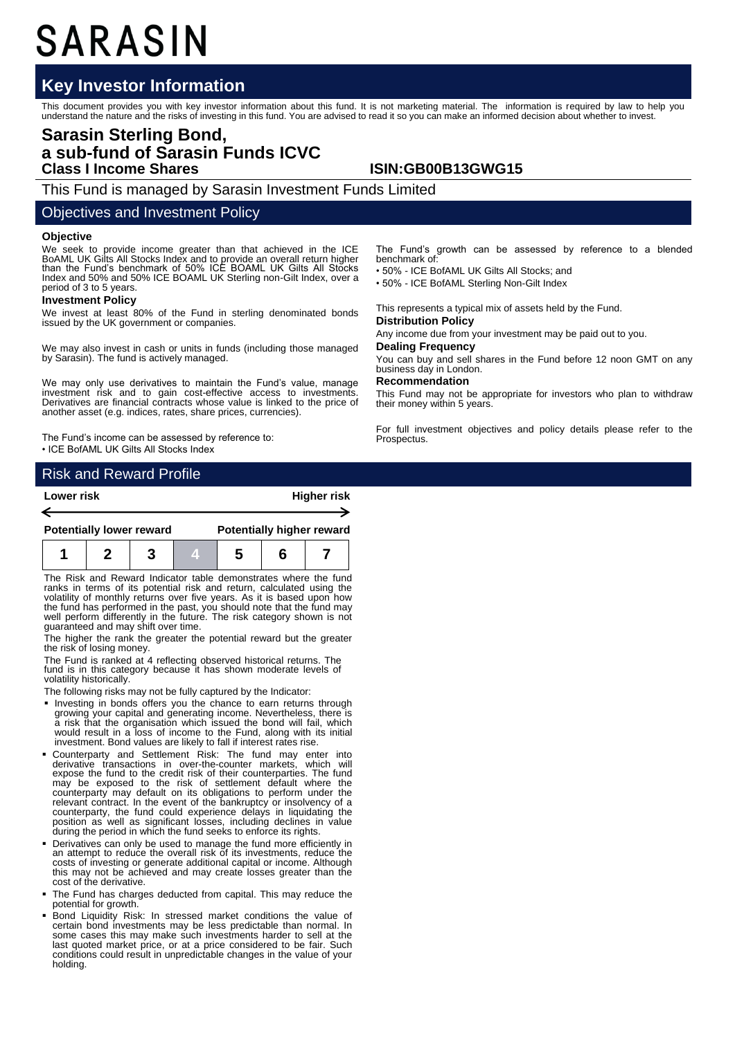# SARASIN

## **Key Investor Information**

This document provides you with key investor information about this fund. It is not marketing material. The information is required by law to help you<br>understand the nature and the risks of investing in this fund. You are

## **Sarasin Sterling Bond, a sub-fund of Sarasin Funds ICVC Class I Income Shares ISIN:GB00B13GWG15**

This Fund is managed by Sarasin Investment Funds Limited

## Objectives and Investment Policy

#### **Objective**

We seek to provide income greater than that achieved in the ICE BoAML UK Gilts All Stocks Index and to provide an overall return higher than the Fund's benchmark of 50% ICE BOAML UK Gilts All Stocks Index and 50% and 50% ICE BOAML UK Sterling non-Gilt Index, over a period of 3 to 5 years.

#### **Investment Policy**

We invest at least 80% of the Fund in sterling denominated bonds issued by the UK government or companies.

We may also invest in cash or units in funds (including those managed by Sarasin). The fund is actively managed.

We may only use derivatives to maintain the Fund's value, manage investment risk and to gain cost-effective access to investments. Derivatives are financial contracts whose value is linked to the price of another asset (e.g. indices, rates, share prices, currencies).

The Fund's income can be assessed by reference to: • ICE BofAML UK Gilts All Stocks Index

## Risk and Reward Profile

| Lower risk |                                 |  |  |                                  |  | <b>Higher risk</b> |  |
|------------|---------------------------------|--|--|----------------------------------|--|--------------------|--|
|            | <b>Potentially lower reward</b> |  |  | <b>Potentially higher reward</b> |  |                    |  |
|            |                                 |  |  |                                  |  |                    |  |

The Risk and Reward Indicator table demonstrates where the fund ranks in terms of its potential risk and return, calculated using the volatility of monthly returns over five years. As it is based upon how the fund has performed in the past, you should note that the fund may well perform differently in the future. The risk category shown is not guaranteed and may shift over time.

The higher the rank the greater the potential reward but the greater the risk of losing money.

The Fund is ranked at 4 reflecting observed historical returns. The fund is in this category because it has shown moderate levels of volatility historically.

The following risks may not be fully captured by the Indicator:

- Investing in bonds offers you the chance to earn returns through growing your capital and generating income. Nevertheless, there is a risk that the organisation which issued the bond will fail, which would result in a loss of income to the Fund, along with its initial investment. Bond values are likely to fall if interest rates rise.
- Counterparty and Settlement Risk: The fund may enter into derivative transactions in over-the-counter markets, which will expose the fund to the credit risk of their counterparties. The fund may be exposed to the risk of settlement default where the counterparty may default on its obligations to perform under the relevant contract. In the event of the bankruptcy or insolvency of a counterparty, the fund could experience delays in liquidating the position as well as significant losses, including declines in value<br>during the period in which the fund seeks to enforce its rights.
- Derivatives can only be used to manage the fund more efficiently in an attempt to reduce the overall risk of its investments, reduce the costs of investing or generate additional capital or income. Although this may not be achieved and may create losses greater than the cost of the derivative.
- The Fund has charges deducted from capital. This may reduce the potential for growth.
- Bond Liquidity Risk: In stressed market conditions the value of certain bond investments may be less predictable than normal. In some cases this may make such investments harder to sell at the last quoted market price, or at a price considered to be fair. Such conditions could result in unpredictable changes in the value of your holding.

The Fund's growth can be assessed by reference to a blended benchmark of:

• 50% - ICE BofAML UK Gilts All Stocks; and

• 50% - ICE BofAML Sterling Non-Gilt Index

This represents a typical mix of assets held by the Fund.

#### **Distribution Policy**

Any income due from your investment may be paid out to you.

#### **Dealing Frequency**

You can buy and sell shares in the Fund before 12 noon GMT on any business day in London.

## **Recommendation**

This Fund may not be appropriate for investors who plan to withdraw their money within 5 years.

For full investment objectives and policy details please refer to the Prospectus.